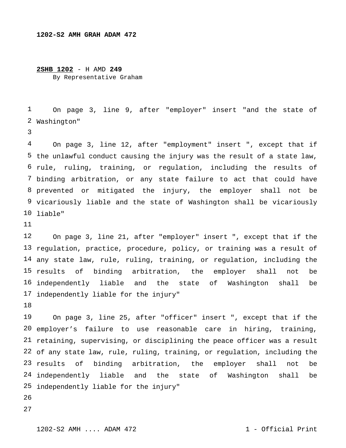## **2SHB 1202** - H AMD **249** By Representative Graham

 Washington" On page 3, line 9, after "employer" insert "and the state of

 the unlawful conduct causing the injury was the result of a state law, rule, ruling, training, or regulation, including the results of binding arbitration, or any state failure to act that could have 8 prevented or mitigated the injury, the employer shall not be vicariously liable and the state of Washington shall be vicariously liable" On page 3, line 12, after "employment" insert ", except that if

 regulation, practice, procedure, policy, or training was a result of any state law, rule, ruling, training, or regulation, including the results of binding arbitration, the employer shall not be independently liable and the state of Washington shall be independently liable for the injury" On page 3, line 21, after "employer" insert ", except that if the

 employer's failure to use reasonable care in hiring, training, retaining, supervising, or disciplining the peace officer was a result of any state law, rule, ruling, training, or regulation, including the 23 results of independently liable and the state of Washington shall be independently liable for the injury"On page 3, line 25, after "officer" insert ", except that if the binding arbitration, the employer shall not be

- 
-